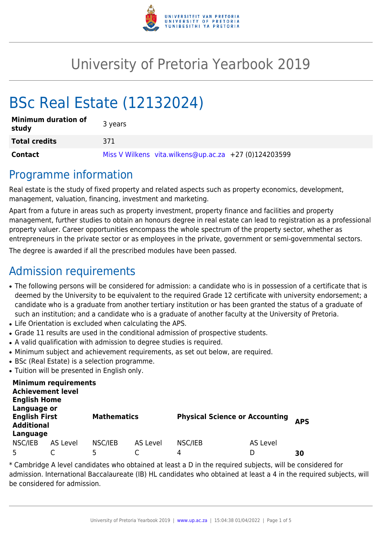

# University of Pretoria Yearbook 2019

# BSc Real Estate (12132024)

| <b>Minimum duration of</b><br>study | 3 years                                               |
|-------------------------------------|-------------------------------------------------------|
| <b>Total credits</b>                | 371                                                   |
| Contact                             | Miss V Wilkens vita.wilkens@up.ac.za +27 (0)124203599 |

# Programme information

Real estate is the study of fixed property and related aspects such as property economics, development, management, valuation, financing, investment and marketing.

Apart from a future in areas such as property investment, property finance and facilities and property management, further studies to obtain an honours degree in real estate can lead to registration as a professional property valuer. Career opportunities encompass the whole spectrum of the property sector, whether as entrepreneurs in the private sector or as employees in the private, government or semi-governmental sectors.

The degree is awarded if all the prescribed modules have been passed.

# Admission requirements

- The following persons will be considered for admission: a candidate who is in possession of a certificate that is deemed by the University to be equivalent to the required Grade 12 certificate with university endorsement; a candidate who is a graduate from another tertiary institution or has been granted the status of a graduate of such an institution; and a candidate who is a graduate of another faculty at the University of Pretoria.
- Life Orientation is excluded when calculating the APS.
- Grade 11 results are used in the conditional admission of prospective students.
- A valid qualification with admission to degree studies is required.
- Minimum subject and achievement requirements, as set out below, are required.
- BSc (Real Estate) is a selection programme.
- Tuition will be presented in English only.

| <b>Minimum requirements</b><br><b>Achievement level</b><br><b>English Home</b><br>Language or |                 |                    |          |                                       |          |            |  |  |
|-----------------------------------------------------------------------------------------------|-----------------|--------------------|----------|---------------------------------------|----------|------------|--|--|
| <b>English First</b><br><b>Additional</b>                                                     |                 | <b>Mathematics</b> |          | <b>Physical Science or Accounting</b> |          | <b>APS</b> |  |  |
| Language                                                                                      |                 |                    |          |                                       |          |            |  |  |
| NSC/IEB                                                                                       | <b>AS Level</b> | NSC/IEB            | AS Level | NSC/IEB                               | AS Level |            |  |  |
| 5                                                                                             |                 | 5                  |          | 4                                     | D        | 30         |  |  |

\* Cambridge A level candidates who obtained at least a D in the required subjects, will be considered for admission. International Baccalaureate (IB) HL candidates who obtained at least a 4 in the required subjects, will be considered for admission.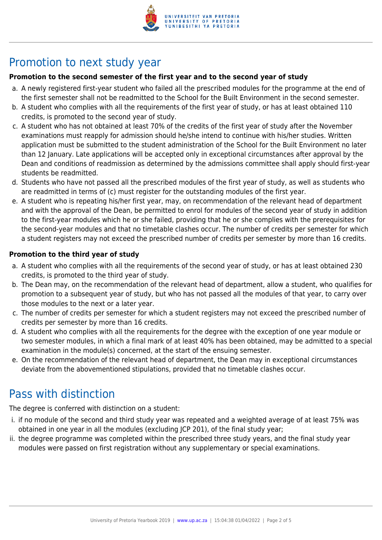

# Promotion to next study year

#### **Promotion to the second semester of the first year and to the second year of study**

- a. A newly registered first-year student who failed all the prescribed modules for the programme at the end of the first semester shall not be readmitted to the School for the Built Environment in the second semester.
- b. A student who complies with all the requirements of the first year of study, or has at least obtained 110 credits, is promoted to the second year of study.
- c. A student who has not obtained at least 70% of the credits of the first year of study after the November examinations must reapply for admission should he/she intend to continue with his/her studies. Written application must be submitted to the student administration of the School for the Built Environment no later than 12 January. Late applications will be accepted only in exceptional circumstances after approval by the Dean and conditions of readmission as determined by the admissions committee shall apply should first-year students be readmitted.
- d. Students who have not passed all the prescribed modules of the first year of study, as well as students who are readmitted in terms of (c) must register for the outstanding modules of the first year.
- e. A student who is repeating his/her first year, may, on recommendation of the relevant head of department and with the approval of the Dean, be permitted to enrol for modules of the second year of study in addition to the first-year modules which he or she failed, providing that he or she complies with the prerequisites for the second-year modules and that no timetable clashes occur. The number of credits per semester for which a student registers may not exceed the prescribed number of credits per semester by more than 16 credits.

#### **Promotion to the third year of study**

- a. A student who complies with all the requirements of the second year of study, or has at least obtained 230 credits, is promoted to the third year of study.
- b. The Dean may, on the recommendation of the relevant head of department, allow a student, who qualifies for promotion to a subsequent year of study, but who has not passed all the modules of that year, to carry over those modules to the next or a later year.
- c. The number of credits per semester for which a student registers may not exceed the prescribed number of credits per semester by more than 16 credits.
- d. A student who complies with all the requirements for the degree with the exception of one year module or two semester modules, in which a final mark of at least 40% has been obtained, may be admitted to a special examination in the module(s) concerned, at the start of the ensuing semester.
- e. On the recommendation of the relevant head of department, the Dean may in exceptional circumstances deviate from the abovementioned stipulations, provided that no timetable clashes occur.

# Pass with distinction

The degree is conferred with distinction on a student:

- i. if no module of the second and third study year was repeated and a weighted average of at least 75% was obtained in one year in all the modules (excluding JCP 201), of the final study year;
- ii. the degree programme was completed within the prescribed three study years, and the final study year modules were passed on first registration without any supplementary or special examinations.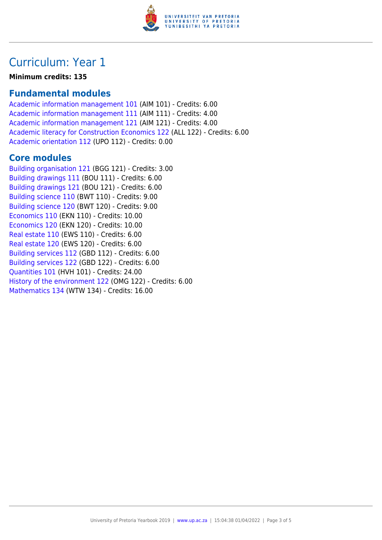

### Curriculum: Year 1

**Minimum credits: 135**

### **Fundamental modules**

[Academic information management 101](https://www.up.ac.za/yearbooks/2019/modules/view/AIM 101) (AIM 101) - Credits: 6.00 [Academic information management 111](https://www.up.ac.za/yearbooks/2019/modules/view/AIM 111) (AIM 111) - Credits: 4.00 [Academic information management 121](https://www.up.ac.za/yearbooks/2019/modules/view/AIM 121) (AIM 121) - Credits: 4.00 [Academic literacy for Construction Economics 122](https://www.up.ac.za/yearbooks/2019/modules/view/ALL 122) (ALL 122) - Credits: 6.00 [Academic orientation 112](https://www.up.ac.za/yearbooks/2019/modules/view/UPO 112) (UPO 112) - Credits: 0.00

### **Core modules**

[Building organisation 121](https://www.up.ac.za/yearbooks/2019/modules/view/BGG 121) (BGG 121) - Credits: 3.00 [Building drawings 111](https://www.up.ac.za/yearbooks/2019/modules/view/BOU 111) (BOU 111) - Credits: 6.00 [Building drawings 121](https://www.up.ac.za/yearbooks/2019/modules/view/BOU 121) (BOU 121) - Credits: 6.00 [Building science 110](https://www.up.ac.za/yearbooks/2019/modules/view/BWT 110) (BWT 110) - Credits: 9.00 [Building science 120](https://www.up.ac.za/yearbooks/2019/modules/view/BWT 120) (BWT 120) - Credits: 9.00 [Economics 110](https://www.up.ac.za/yearbooks/2019/modules/view/EKN 110) (EKN 110) - Credits: 10.00 [Economics 120](https://www.up.ac.za/yearbooks/2019/modules/view/EKN 120) (EKN 120) - Credits: 10.00 [Real estate 110](https://www.up.ac.za/yearbooks/2019/modules/view/EWS 110) (EWS 110) - Credits: 6.00 [Real estate 120](https://www.up.ac.za/yearbooks/2019/modules/view/EWS 120) (EWS 120) - Credits: 6.00 [Building services 112](https://www.up.ac.za/yearbooks/2019/modules/view/GBD 112) (GBD 112) - Credits: 6.00 [Building services 122](https://www.up.ac.za/yearbooks/2019/modules/view/GBD 122) (GBD 122) - Credits: 6.00 [Quantities 101](https://www.up.ac.za/yearbooks/2019/modules/view/HVH 101) (HVH 101) - Credits: 24.00 [History of the environment 122](https://www.up.ac.za/yearbooks/2019/modules/view/OMG 122) (OMG 122) - Credits: 6.00 [Mathematics 134](https://www.up.ac.za/yearbooks/2019/modules/view/WTW 134) (WTW 134) - Credits: 16.00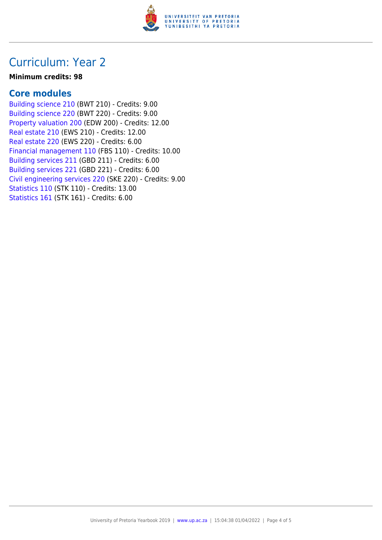

### Curriculum: Year 2

#### **Minimum credits: 98**

### **Core modules**

[Building science 210](https://www.up.ac.za/yearbooks/2019/modules/view/BWT 210) (BWT 210) - Credits: 9.00 [Building science 220](https://www.up.ac.za/yearbooks/2019/modules/view/BWT 220) (BWT 220) - Credits: 9.00 [Property valuation 200](https://www.up.ac.za/yearbooks/2019/modules/view/EDW 200) (EDW 200) - Credits: 12.00 [Real estate 210](https://www.up.ac.za/yearbooks/2019/modules/view/EWS 210) (EWS 210) - Credits: 12.00 [Real estate 220](https://www.up.ac.za/yearbooks/2019/modules/view/EWS 220) (EWS 220) - Credits: 6.00 [Financial management 110](https://www.up.ac.za/yearbooks/2019/modules/view/FBS 110) (FBS 110) - Credits: 10.00 [Building services 211](https://www.up.ac.za/yearbooks/2019/modules/view/GBD 211) (GBD 211) - Credits: 6.00 [Building services 221](https://www.up.ac.za/yearbooks/2019/modules/view/GBD 221) (GBD 221) - Credits: 6.00 [Civil engineering services 220](https://www.up.ac.za/yearbooks/2019/modules/view/SKE 220) (SKE 220) - Credits: 9.00 [Statistics 110](https://www.up.ac.za/yearbooks/2019/modules/view/STK 110) (STK 110) - Credits: 13.00 [Statistics 161](https://www.up.ac.za/yearbooks/2019/modules/view/STK 161) (STK 161) - Credits: 6.00